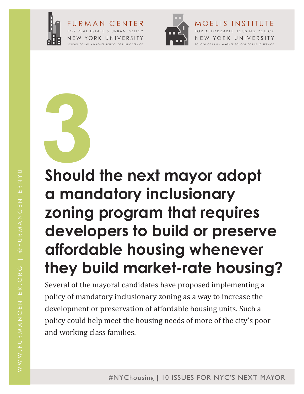

FURMAN CENTER FOR REAL ESTATE & URBAN POLICY NEW YO RK UNIVERSITY SCHOOL OF LAW • WAGNER SCHOOL OF PUBLIC SERVICE



FOR AFFORDABLE HOUSING POLICY NEW YORK UNIVERSITY SCHOOL OF LAW • WAGNER SCHOOL OF PUBLIC SERVICE

MOELIS INSTITUTE

**3 Should the next mayor adopt** 

# **a mandatory inclusionary zoning program that requires developers to build or preserve affordable housing whenever they build market-rate housing?**

Several of the mayoral candidates have proposed implementing a policy of mandatory inclusionary zoning as a way to increase the development or preservation of affordable housing units. Such a policy could help meet the housing needs of more of the city's poor and working class families.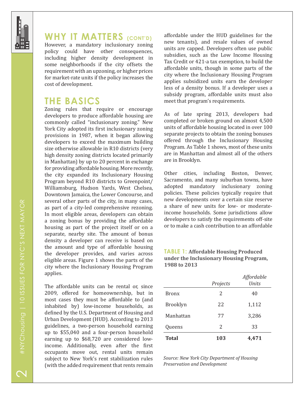

### **WHY IT MATTERS** (CONT'D)

However, a mandatory inclusionary zoning policy could have other consequences, including higher density development in some neighborhoods if the city offsets the requirement with an upzoning, or higher prices for market-rate units if the policy increases the cost of development.

## **THE BASICS**

Zoning rules that require or encourage developers to produce affordable housing are commonly called "inclusionary zoning." New York City adopted its first inclusionary zoning provisions in 1987, when it began allowing developers to exceed the maximum building size otherwise allowable in R10 districts (very high density zoning districts located primarily in Manhattan) by up to 20 percent in exchange for providing affordable housing. More recently, the city expanded its Inclusionary Housing Program beyond R10 districts to Greenpoint/ Williamsburg, Hudson Yards, West Chelsea, Downtown Jamaica, the Lower Concourse, and several other parts of the city, in many cases, as part of a city-led comprehensive rezoning. In most eligible areas, developers can obtain a zoning bonus by providing the affordable housing as part of the project itself or on a separate, nearby site. The amount of bonus density a developer can receive is based on the amount and type of affordable housing the developer provides, and varies across eligible areas. Figure 1 shows the parts of the city where the Inclusionary Housing Program applies.

The affordable units can be rental or, since 2009, offered for homeownership, but in most cases they must be affordable to (and inhabited by) low-income households, as defined by the U.S. Department of Housing and Urban Development (HUD). According to 2013 guidelines, a two-person household earning up to \$55,040 and a four-person household earning up to \$68,720 are considered lowincome. Additionally, even after the first occupants move out, rental units remain subject to New York's rent stabilization rules (with the added requirement that rents remain affordable under the HUD guidelines for the new tenants), and resale values of owned units are capped. Developers often use public subsidies, such as the Low Income Housing Tax Credit or 421-a tax exemption, to build the affordable units, though in some parts of the city where the Inclusionary Housing Program applies subsidized units earn the developer less of a density bonus. If a developer uses a subsidy program, affordable units must also meet that program's requirements.

As of late spring 2013, developers had completed or broken ground on almost 4,500 units of affordable housing located in over 100 separate projects to obtain the zoning bonuses offered through the Inclusionary Housing Program. As Table 1 shows, most of these units are in Manhattan and almost all of the others are in Brooklyn.

Other cities, including Boston, Denver, Sacramento, and many suburban towns, have adopted mandatory inclusionary zoning policies. These policies typically require that new developments over a certain size reserve a share of new units for low- or moderateincome households. Some jurisdictions allow developers to satisfy the requirements off-site or to make a cash contribution to an affordable

#### **TABLE 1: Affordable Housing Produced under the Inclusionary Housing Program, 1988 to 2013**

|                 |          | Affordable   |
|-----------------|----------|--------------|
|                 | Projects | <b>Units</b> |
| <b>Bronx</b>    | 2        | 40           |
| <b>Brooklyn</b> | 22       | 1,112        |
| Manhattan       | 77       | 3,286        |
| Queens          | 2        | 33           |
| <b>Total</b>    | 103      | 4,471        |

*Source: New York City Department of Housing Preservation and Development*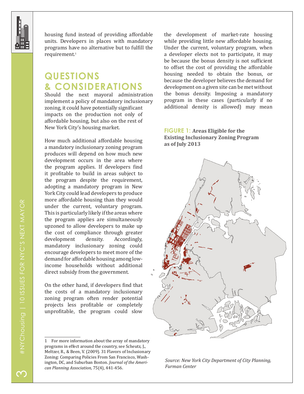

housing fund instead of providing affordable units. Developers in places with mandatory programs have no alternative but to fulfill the requirement.1

## **QUESTIONS & CONSIDERATIONS**

Should the next mayoral administration implement a policy of mandatory inclusionary zoning, it could have potentially significant impacts on the production not only of affordable housing, but also on the rest of New York City's housing market.

How much additional affordable housing a mandatory inclusionary zoning program produces will depend on how much new development occurs in the area where the program applies. If developers find it profitable to build in areas subject to the program despite the requirement, adopting a mandatory program in New York City could lead developers to produce more affordable housing than they would under the current, voluntary program. This is particularly likely if the areas where the program applies are simultaneously upzoned to allow developers to make up the cost of compliance through greater<br>development density. Accordingly. development mandatory inclusionary zoning could encourage developers to meet more of the demand for affordable housing among lowincome households without additional direct subsidy from the government.

On the other hand, if developers find that the costs of a mandatory inclusionary zoning program often render potential projects less profitable or completely unprofitable, the program could slow

the development of market-rate housing while providing little new affordable housing. Under the current, voluntary program, when a developer elects not to participate, it may be because the bonus density is not sufficient to offset the cost of providing the affordable housing needed to obtain the bonus, or because the developer believes the demand for development on a given site can be met without the bonus density. Imposing a mandatory program in these cases (particularly if no additional density is allowed) may mean

#### **FIGURE 1: Areas Eligible for the Existing Inclusionary Zoning Program as of July 2013**



*Source: New York City Department of City Planning, Furman Center*

<sup>1</sup> For more information about the array of mandatory programs in effect around the country, see Scheutz, J., Meltzer, R., & Been, V. (2009). 31 Flavors of Inclusionary Zoning: Comparing Policies From San Francisco, Washington, DC, and Suburban Boston. *Journal of the American Planning Association,* 75(4), 441-456.